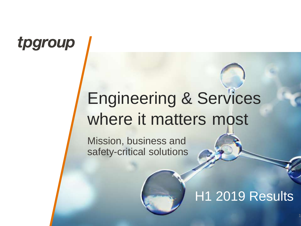## tpgroup

# Engineering & Services where it matters most

Mission, business and safety-critical solutions

### H1 2019 Results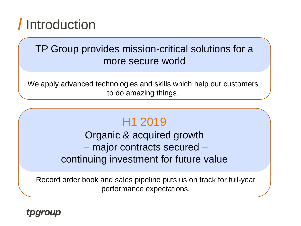## Introduction

### TP Group provides mission-critical solutions for a more secure world

We apply advanced technologies and skills which help our customers to do amazing things.

### H1 2019

Organic & acquired growth – major contracts secured – continuing investment for future value

Record order book and sales pipeline puts us on track for full-year performance expectations.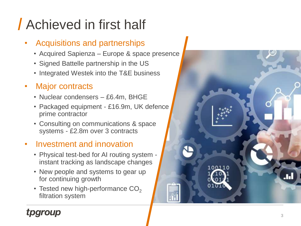# Achieved in first half

#### • Acquisitions and partnerships

- Acquired Sapienza Europe & space presence
- Signed Battelle partnership in the US
- Integrated Westek into the T&E business

#### **Major contracts**

- Nuclear condensers £6.4m, BHGE
- Packaged equipment £16.9m, UK defence prime contractor
- Consulting on communications & space systems - £2.8m over 3 contracts

#### • Investment and innovation

- Physical test-bed for AI routing system instant tracking as landscape changes
- New people and systems to gear up for continuing growth
- Tested new high-performance  $\mathrm{CO}_2$ filtration system

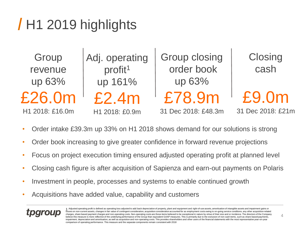## H1 2019 highlights

| Group<br>revenue | Adj. operating<br>profit <sup>1</sup> | <b>Group closing</b><br>order book | Closing<br>cash   |
|------------------|---------------------------------------|------------------------------------|-------------------|
| up 63%           | up 161%                               | up 63%                             |                   |
| £26.0m           | f2.4m                                 | £78.9m                             | £9.0m             |
| H1 2018: £16.0m  | H1 2018: £0.9m                        | 31 Dec 2018: £48.3m                | 31 Dec 2018: £21m |

- Order intake £39.3m up 33% on H1 2018 shows demand for our solutions is strong
- Order book increasing to give greater confidence in forward revenue projections
- Focus on project execution timing ensured adjusted operating profit at planned level
- Closing cash figure is after acquisition of Sapienza and earn-out payments on Polaris
- Investment in people, processes and systems to enable continued growth
- Acquisitions have added value, capability and customers

1 Adjusted operating profit is defined as operating loss adjusted to add back depreciation of property, plant and equipment and right-of-use assets, amortisation of intangible assets and impairment gains or losses on non-current assets, changes in fair value of contingent consideration, acquisition consideration accounted for as employment costs owing to on-going service conditions, any other acquisition-related charges, share based payment charges and non-operating costs. Non-operating costs are those items believed to be exceptional in nature by virtue of their size and or incidence. The directors of the Company measure is more reflective of the underlying performance of the Group than equivalent GAAP measures. This is primarily due to the exclusion of non-cash items, such as share-based payments, impairment, depreciation and amortisation, as well as acquisition and non-operating costs. This provides shareholders and other users of the financial statements with the most representative year-on-year comparison of operating performance. This measure and the separate components remain consistent with 2018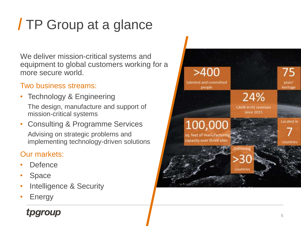# TP Group at a glance

We deliver mission -critical systems and equipment to global customers working for a more secure world.

#### Two business streams:

• Technology & Engineering The design, manufacture and support of

mission -critical systems

• Consulting & Programme Services Advising on strategic problems and implementing technology -driven solutions

#### Our markets:

- Defence
- **Space**
- Intelligence & Security
- **Energy**

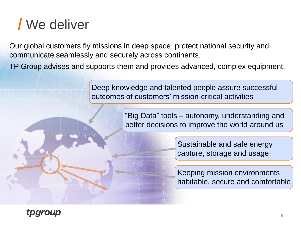## We deliver

Our global customers fly missions in deep space, protect national security and communicate seamlessly and securely across continents.

TP Group advises and supports them and provides advanced, complex equipment.

Deep knowledge and talented people assure successful outcomes of customers' mission-critical activities

> "Big Data" tools – autonomy, understanding and better decisions to improve the world around us

> > Sustainable and safe energy capture, storage and usage

Keeping mission environments habitable, secure and comfortable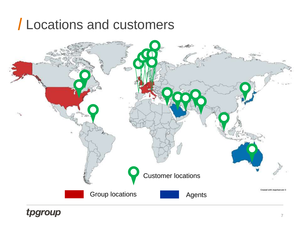## Locations and customers

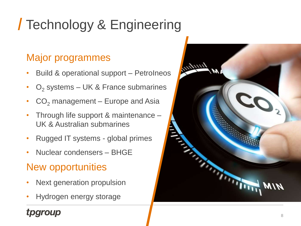# Technology & Engineering

### Major programmes

- Build & operational support PetroIneos
- $O<sub>2</sub>$  systems UK & France submarines
- $CO<sub>2</sub>$  management Europe and Asia
- Through life support & maintenance UK & Australian submarines
- Rugged IT systems global primes
- Nuclear condensers BHGE

### New opportunities

- Next generation propulsion
- Hydrogen energy storage

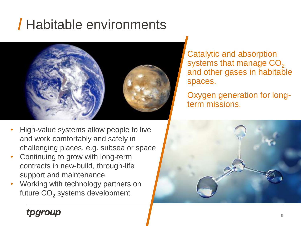## Habitable environments



Catalytic and absorption systems that manage  $CO<sub>2</sub>$ and other gases in habitable spaces.

Oxygen generation for longterm missions.

- High-value systems allow people to live and work comfortably and safely in challenging places, e.g. subsea or space
- Continuing to grow with long-term contracts in new-build, through-life support and maintenance
- Working with technology partners on future  $CO<sub>2</sub>$  systems development

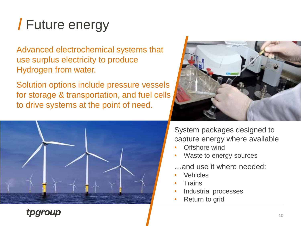# Future energy

Advanced electrochemical systems that use surplus electricity to produce Hydrogen from water.

Solution options include pressure vessels for storage & transportation, and fuel cells to drive systems at the point of need.





System packages designed to capture energy where available

- Offshore wind
- Waste to energy sources
- …and use it where needed:
- **Vehicles**
- **Trains**
- Industrial processes
- Return to grid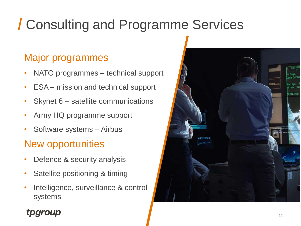# Consulting and Programme Services

### Major programmes

- NATO programmes technical support
- ESA mission and technical support
- Skynet 6 satellite communications
- Army HQ programme support
- Software systems Airbus

### New opportunities

- Defence & security analysis
- Satellite positioning & timing
- Intelligence, surveillance & control systems

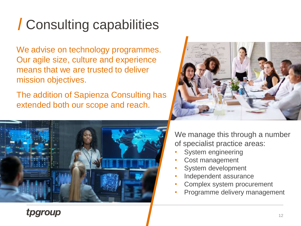# Consulting capabilities

We advise on technology programmes. Our agile size, culture and experience means that we are trusted to deliver mission objectives.

The addition of Sapienza Consulting has extended both our scope and reach.





We manage this through a number of specialist practice areas:

- System engineering
- Cost management
- System development
- Independent assurance
- Complex system procurement
- Programme delivery management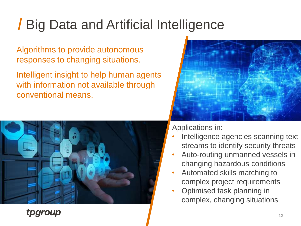## Big Data and Artificial Intelligence

Algorithms to provide autonomous responses to changing situations.

Intelligent insight to help human agents with information not available through conventional means.





Applications in:

- Intelligence agencies scanning text streams to identify security threats
- Auto-routing unmanned vessels in changing hazardous conditions
- Automated skills matching to complex project requirements
- Optimised task planning in complex, changing situations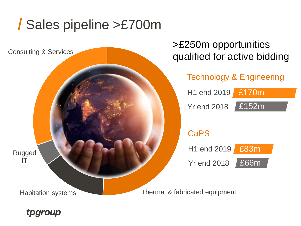## Sales pipeline >£700m

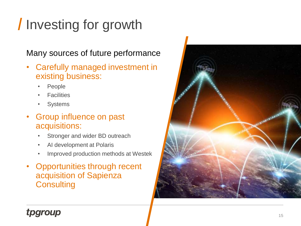# Investing for growth

#### Many sources of future performance

- Carefully managed investment in existing business:
	- People
	- **Facilities**
	- Systems
- Group influence on past acquisitions:
	- Stronger and wider BD outreach
	- AI development at Polaris
	- Improved production methods at Westek
- Opportunities through recent acquisition of Sapienza **Consulting**

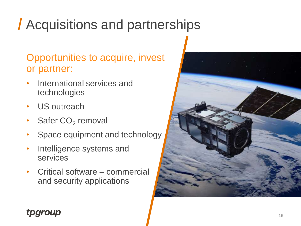# Acquisitions and partnerships

### Opportunities to acquire, invest or partner:

- International services and technologies
- US outreach
- Safer  $CO<sub>2</sub>$  removal
- Space equipment and technology
- Intelligence systems and services
- Critical software commercial and security applications

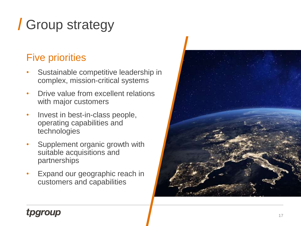# Group strategy

### Five priorities

- Sustainable competitive leadership in complex, mission -critical systems
- Drive value from excellent relations with major customers
- Invest in best-in-class people, operating capabilities and technologies
- Supplement organic growth with suitable acquisitions and partnerships
- Expand our geographic reach in customers and capabilities